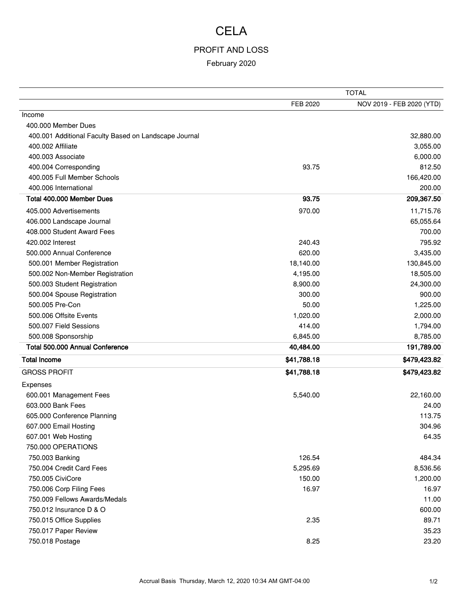# CELA

#### PROFIT AND LOSS

February 2020

|                                                       | <b>TOTAL</b> |                           |
|-------------------------------------------------------|--------------|---------------------------|
|                                                       | FEB 2020     | NOV 2019 - FEB 2020 (YTD) |
| Income                                                |              |                           |
| 400.000 Member Dues                                   |              |                           |
| 400.001 Additional Faculty Based on Landscape Journal |              | 32,880.00                 |
| 400.002 Affiliate                                     |              | 3,055.00                  |
| 400,003 Associate                                     |              | 6,000.00                  |
| 400.004 Corresponding                                 | 93.75        | 812.50                    |
| 400.005 Full Member Schools                           |              | 166,420.00                |
| 400.006 International                                 |              | 200.00                    |
| Total 400.000 Member Dues                             | 93.75        | 209,367.50                |
| 405,000 Advertisements                                | 970.00       | 11,715.76                 |
| 406.000 Landscape Journal                             |              | 65,055.64                 |
| 408.000 Student Award Fees                            |              | 700.00                    |
| 420,002 Interest                                      | 240.43       | 795.92                    |
| 500.000 Annual Conference                             | 620.00       | 3,435.00                  |
| 500.001 Member Registration                           | 18,140.00    | 130,845.00                |
| 500.002 Non-Member Registration                       | 4,195.00     | 18,505.00                 |
| 500.003 Student Registration                          | 8,900.00     | 24,300.00                 |
| 500.004 Spouse Registration                           | 300.00       | 900.00                    |
| 500.005 Pre-Con                                       | 50.00        | 1,225.00                  |
| 500.006 Offsite Events                                | 1,020.00     | 2,000.00                  |
| 500.007 Field Sessions                                | 414.00       | 1,794.00                  |
| 500.008 Sponsorship                                   | 6,845.00     | 8,785.00                  |
| Total 500.000 Annual Conference                       | 40,484.00    | 191,789.00                |
| <b>Total Income</b>                                   | \$41,788.18  | \$479,423.82              |
| <b>GROSS PROFIT</b>                                   | \$41,788.18  | \$479,423.82              |
| Expenses                                              |              |                           |
| 600.001 Management Fees                               | 5,540.00     | 22,160.00                 |
| 603,000 Bank Fees                                     |              | 24.00                     |
| 605.000 Conference Planning                           |              | 113.75                    |
| 607.000 Email Hosting                                 |              | 304.96                    |
| 607.001 Web Hosting                                   |              | 64.35                     |
| 750.000 OPERATIONS                                    |              |                           |
| 750.003 Banking                                       | 126.54       | 484.34                    |
| 750.004 Credit Card Fees                              | 5,295.69     | 8,536.56                  |
| 750.005 CiviCore                                      | 150.00       | 1,200.00                  |
| 750.006 Corp Filing Fees                              | 16.97        | 16.97                     |
| 750.009 Fellows Awards/Medals                         |              | 11.00                     |
| 750.012 Insurance D & O                               |              | 600.00                    |
| 750.015 Office Supplies                               | 2.35         | 89.71                     |
| 750.017 Paper Review                                  |              | 35.23                     |
| 750.018 Postage                                       | 8.25         | 23.20                     |
|                                                       |              |                           |